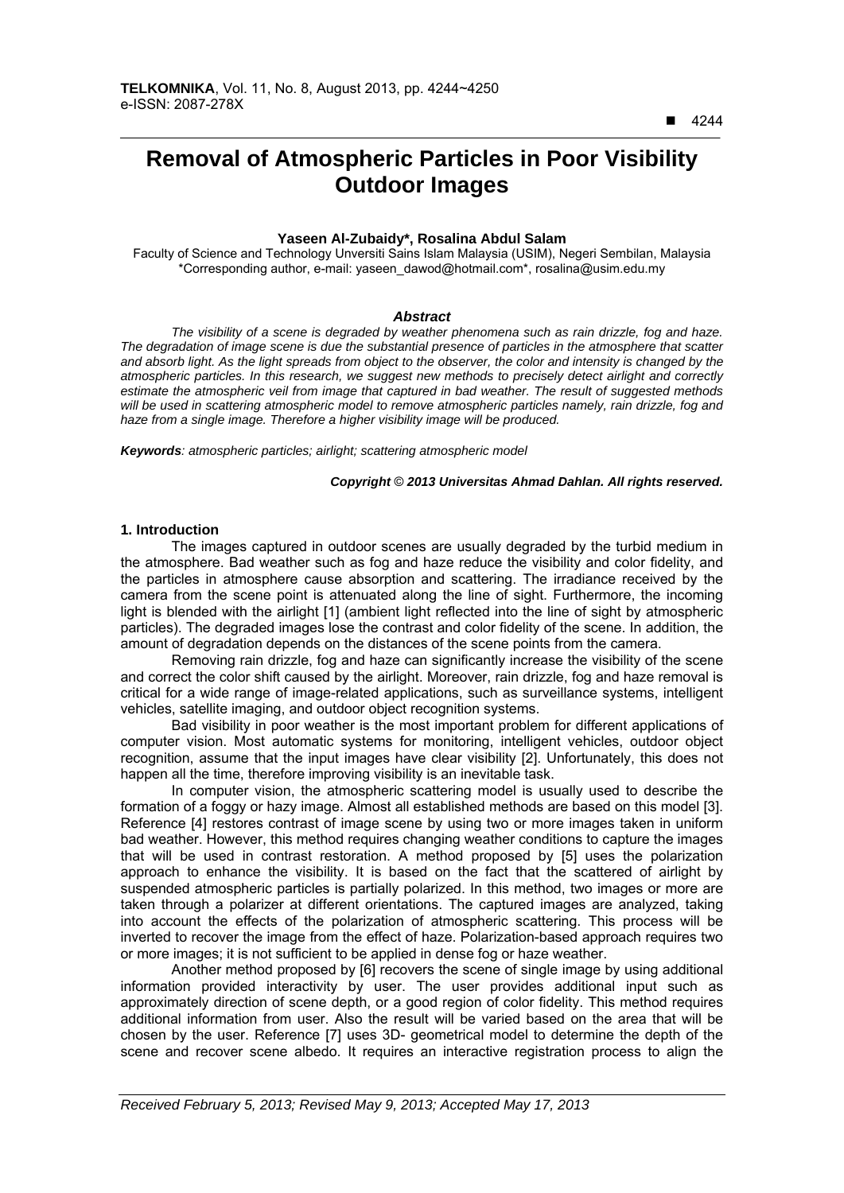$\overline{a}$ 

# **Removal of Atmospheric Particles in Poor Visibility Outdoor Images**

# **Yaseen Al-Zubaidy\*, Rosalina Abdul Salam**

Faculty of Science and Technology Unversiti Sains Islam Malaysia (USIM), Negeri Sembilan, Malaysia \*Corresponding author, e-mail: yaseen\_dawod@hotmail.com\*, rosalina@usim.edu.my

#### *Abstract*

*The visibility of a scene is degraded by weather phenomena such as rain drizzle, fog and haze. The degradation of image scene is due the substantial presence of particles in the atmosphere that scatter and absorb light. As the light spreads from object to the observer, the color and intensity is changed by the atmospheric particles. In this research, we suggest new methods to precisely detect airlight and correctly estimate the atmospheric veil from image that captured in bad weather. The result of suggested methods will be used in scattering atmospheric model to remove atmospheric particles namely, rain drizzle, fog and haze from a single image. Therefore a higher visibility image will be produced.* 

*Keywords: atmospheric particles; airlight; scattering atmospheric model*

#### *Copyright* © *2013 Universitas Ahmad Dahlan. All rights reserved.*

#### **1. Introduction**

The images captured in outdoor scenes are usually degraded by the turbid medium in the atmosphere. Bad weather such as fog and haze reduce the visibility and color fidelity, and the particles in atmosphere cause absorption and scattering. The irradiance received by the camera from the scene point is attenuated along the line of sight. Furthermore, the incoming light is blended with the airlight [1] (ambient light reflected into the line of sight by atmospheric particles). The degraded images lose the contrast and color fidelity of the scene. In addition, the amount of degradation depends on the distances of the scene points from the camera.

Removing rain drizzle, fog and haze can significantly increase the visibility of the scene and correct the color shift caused by the airlight. Moreover, rain drizzle, fog and haze removal is critical for a wide range of image-related applications, such as surveillance systems, intelligent vehicles, satellite imaging, and outdoor object recognition systems.

Bad visibility in poor weather is the most important problem for different applications of computer vision. Most automatic systems for monitoring, intelligent vehicles, outdoor object recognition, assume that the input images have clear visibility [2]. Unfortunately, this does not happen all the time, therefore improving visibility is an inevitable task.

In computer vision, the atmospheric scattering model is usually used to describe the formation of a foggy or hazy image. Almost all established methods are based on this model [3]. Reference [4] restores contrast of image scene by using two or more images taken in uniform bad weather. However, this method requires changing weather conditions to capture the images that will be used in contrast restoration. A method proposed by [5] uses the polarization approach to enhance the visibility. It is based on the fact that the scattered of airlight by suspended atmospheric particles is partially polarized. In this method, two images or more are taken through a polarizer at different orientations. The captured images are analyzed, taking into account the effects of the polarization of atmospheric scattering. This process will be inverted to recover the image from the effect of haze. Polarization-based approach requires two or more images; it is not sufficient to be applied in dense fog or haze weather.

Another method proposed by [6] recovers the scene of single image by using additional information provided interactivity by user. The user provides additional input such as approximately direction of scene depth, or a good region of color fidelity. This method requires additional information from user. Also the result will be varied based on the area that will be chosen by the user. Reference [7] uses 3D- geometrical model to determine the depth of the scene and recover scene albedo. It requires an interactive registration process to align the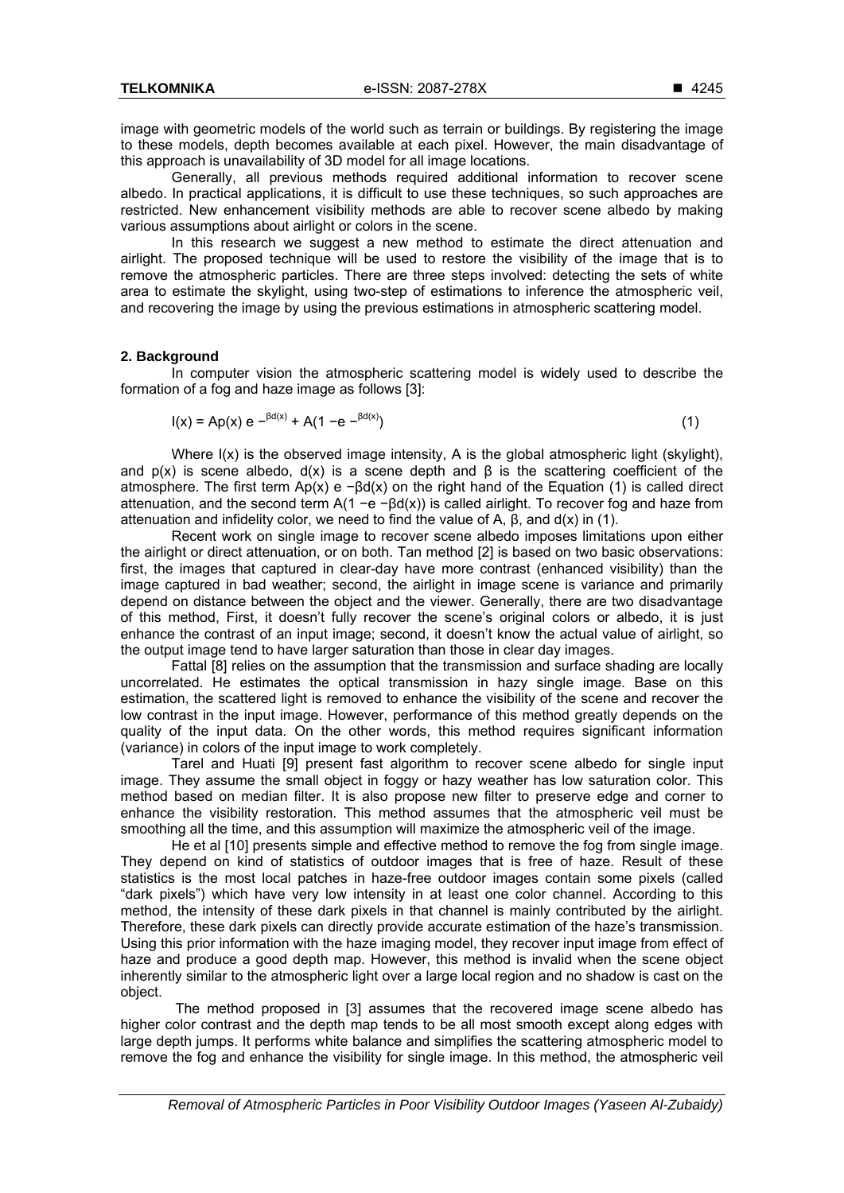image with geometric models of the world such as terrain or buildings. By registering the image to these models, depth becomes available at each pixel. However, the main disadvantage of this approach is unavailability of 3D model for all image locations.

Generally, all previous methods required additional information to recover scene albedo. In practical applications, it is difficult to use these techniques, so such approaches are restricted. New enhancement visibility methods are able to recover scene albedo by making various assumptions about airlight or colors in the scene.

In this research we suggest a new method to estimate the direct attenuation and airlight. The proposed technique will be used to restore the visibility of the image that is to remove the atmospheric particles. There are three steps involved: detecting the sets of white area to estimate the skylight, using two-step of estimations to inference the atmospheric veil, and recovering the image by using the previous estimations in atmospheric scattering model.

#### **2. Background**

In computer vision the atmospheric scattering model is widely used to describe the formation of a fog and haze image as follows [3]:

$$
I(x) = Ap(x) e^{-\beta d(x)} + A(1 - e^{-\beta d(x)})
$$
\n(1)

Where I(x) is the observed image intensity, A is the global atmospheric light (skylight), and  $p(x)$  is scene albedo,  $d(x)$  is a scene depth and  $\beta$  is the scattering coefficient of the atmosphere. The first term  $Ap(x)$  e  $-Bd(x)$  on the right hand of the Equation (1) is called direct attenuation, and the second term A(1 −e −βd(x)) is called airlight. To recover fog and haze from attenuation and infidelity color, we need to find the value of A,  $β$ , and  $d(x)$  in (1).

Recent work on single image to recover scene albedo imposes limitations upon either the airlight or direct attenuation, or on both. Tan method [2] is based on two basic observations: first, the images that captured in clear-day have more contrast (enhanced visibility) than the image captured in bad weather; second, the airlight in image scene is variance and primarily depend on distance between the object and the viewer. Generally, there are two disadvantage of this method, First, it doesn't fully recover the scene's original colors or albedo, it is just enhance the contrast of an input image; second, it doesn't know the actual value of airlight, so the output image tend to have larger saturation than those in clear day images.

Fattal [8] relies on the assumption that the transmission and surface shading are locally uncorrelated. He estimates the optical transmission in hazy single image. Base on this estimation, the scattered light is removed to enhance the visibility of the scene and recover the low contrast in the input image. However, performance of this method greatly depends on the quality of the input data. On the other words, this method requires significant information (variance) in colors of the input image to work completely.

Tarel and Huati [9] present fast algorithm to recover scene albedo for single input image. They assume the small object in foggy or hazy weather has low saturation color. This method based on median filter. It is also propose new filter to preserve edge and corner to enhance the visibility restoration. This method assumes that the atmospheric veil must be smoothing all the time, and this assumption will maximize the atmospheric veil of the image.

He et al [10] presents simple and effective method to remove the fog from single image. They depend on kind of statistics of outdoor images that is free of haze. Result of these statistics is the most local patches in haze-free outdoor images contain some pixels (called "dark pixels") which have very low intensity in at least one color channel. According to this method, the intensity of these dark pixels in that channel is mainly contributed by the airlight. Therefore, these dark pixels can directly provide accurate estimation of the haze's transmission. Using this prior information with the haze imaging model, they recover input image from effect of haze and produce a good depth map. However, this method is invalid when the scene object inherently similar to the atmospheric light over a large local region and no shadow is cast on the object.

 The method proposed in [3] assumes that the recovered image scene albedo has higher color contrast and the depth map tends to be all most smooth except along edges with large depth jumps. It performs white balance and simplifies the scattering atmospheric model to remove the fog and enhance the visibility for single image. In this method, the atmospheric veil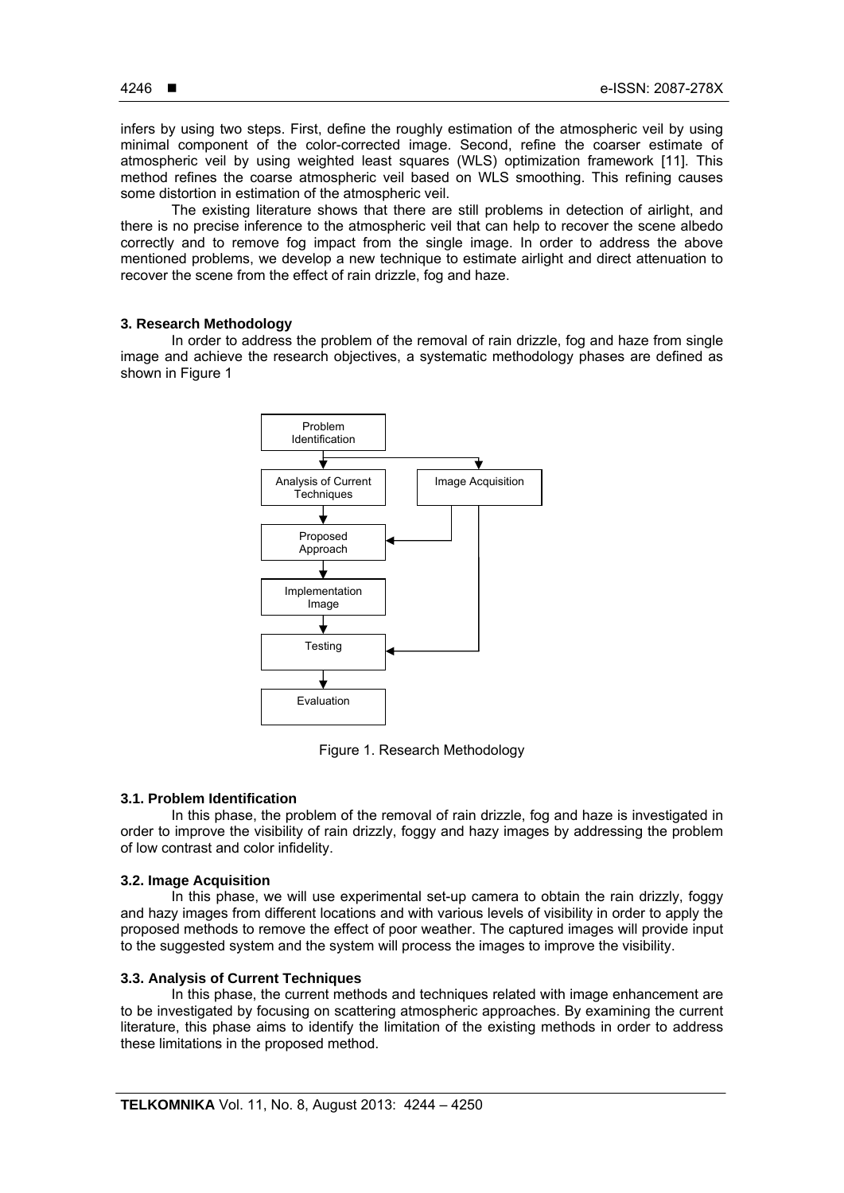infers by using two steps. First, define the roughly estimation of the atmospheric veil by using minimal component of the color-corrected image. Second, refine the coarser estimate of atmospheric veil by using weighted least squares (WLS) optimization framework [11]. This method refines the coarse atmospheric veil based on WLS smoothing. This refining causes some distortion in estimation of the atmospheric veil.

The existing literature shows that there are still problems in detection of airlight, and there is no precise inference to the atmospheric veil that can help to recover the scene albedo correctly and to remove fog impact from the single image. In order to address the above mentioned problems, we develop a new technique to estimate airlight and direct attenuation to recover the scene from the effect of rain drizzle, fog and haze.

## **3. Research Methodology**

In order to address the problem of the removal of rain drizzle, fog and haze from single image and achieve the research objectives, a systematic methodology phases are defined as shown in Figure 1



Figure 1. Research Methodology

# **3.1. Problem Identification**

In this phase, the problem of the removal of rain drizzle, fog and haze is investigated in order to improve the visibility of rain drizzly, foggy and hazy images by addressing the problem of low contrast and color infidelity.

## **3.2. Image Acquisition**

In this phase, we will use experimental set-up camera to obtain the rain drizzly, foggy and hazy images from different locations and with various levels of visibility in order to apply the proposed methods to remove the effect of poor weather. The captured images will provide input to the suggested system and the system will process the images to improve the visibility.

# **3.3. Analysis of Current Techniques**

In this phase, the current methods and techniques related with image enhancement are to be investigated by focusing on scattering atmospheric approaches. By examining the current literature, this phase aims to identify the limitation of the existing methods in order to address these limitations in the proposed method.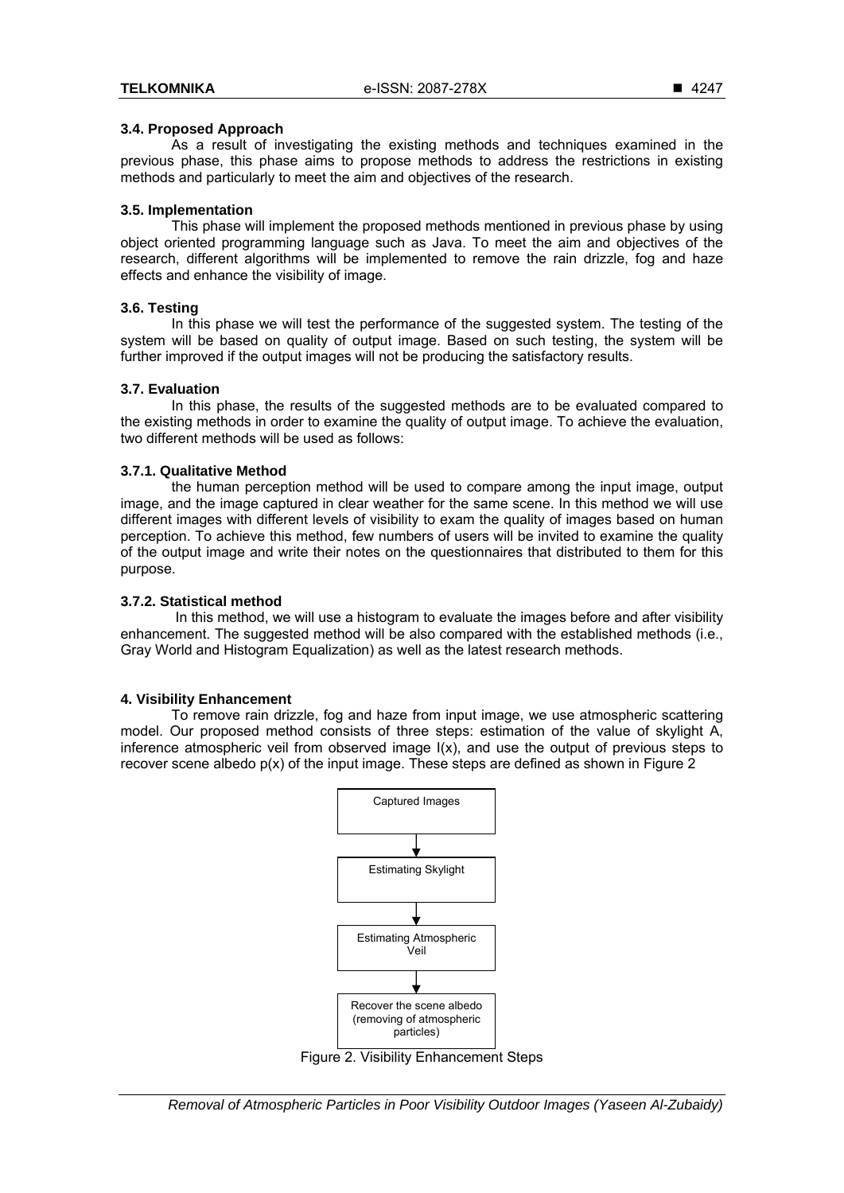## **3.4. Proposed Approach**

As a result of investigating the existing methods and techniques examined in the previous phase, this phase aims to propose methods to address the restrictions in existing methods and particularly to meet the aim and objectives of the research.

# **3.5. Implementation**

This phase will implement the proposed methods mentioned in previous phase by using object oriented programming language such as Java. To meet the aim and objectives of the research, different algorithms will be implemented to remove the rain drizzle, fog and haze effects and enhance the visibility of image.

# **3.6. Testing**

In this phase we will test the performance of the suggested system. The testing of the system will be based on quality of output image. Based on such testing, the system will be further improved if the output images will not be producing the satisfactory results.

## **3.7. Evaluation**

In this phase, the results of the suggested methods are to be evaluated compared to the existing methods in order to examine the quality of output image. To achieve the evaluation, two different methods will be used as follows:

## **3.7.1. Qualitative Method**

the human perception method will be used to compare among the input image, output image, and the image captured in clear weather for the same scene. In this method we will use different images with different levels of visibility to exam the quality of images based on human perception. To achieve this method, few numbers of users will be invited to examine the quality of the output image and write their notes on the questionnaires that distributed to them for this purpose.

### **3.7.2. Statistical method**

 In this method, we will use a histogram to evaluate the images before and after visibility enhancement. The suggested method will be also compared with the established methods (i.e., Gray World and Histogram Equalization) as well as the latest research methods.

# **4. Visibility Enhancement**

To remove rain drizzle, fog and haze from input image, we use atmospheric scattering model. Our proposed method consists of three steps: estimation of the value of skylight A, inference atmospheric veil from observed image I(x), and use the output of previous steps to recover scene albedo p(x) of the input image. These steps are defined as shown in Figure 2



Figure 2. Visibility Enhancement Steps

*Removal of Atmospheric Particles in Poor Visibility Outdoor Images (Yaseen Al-Zubaidy)*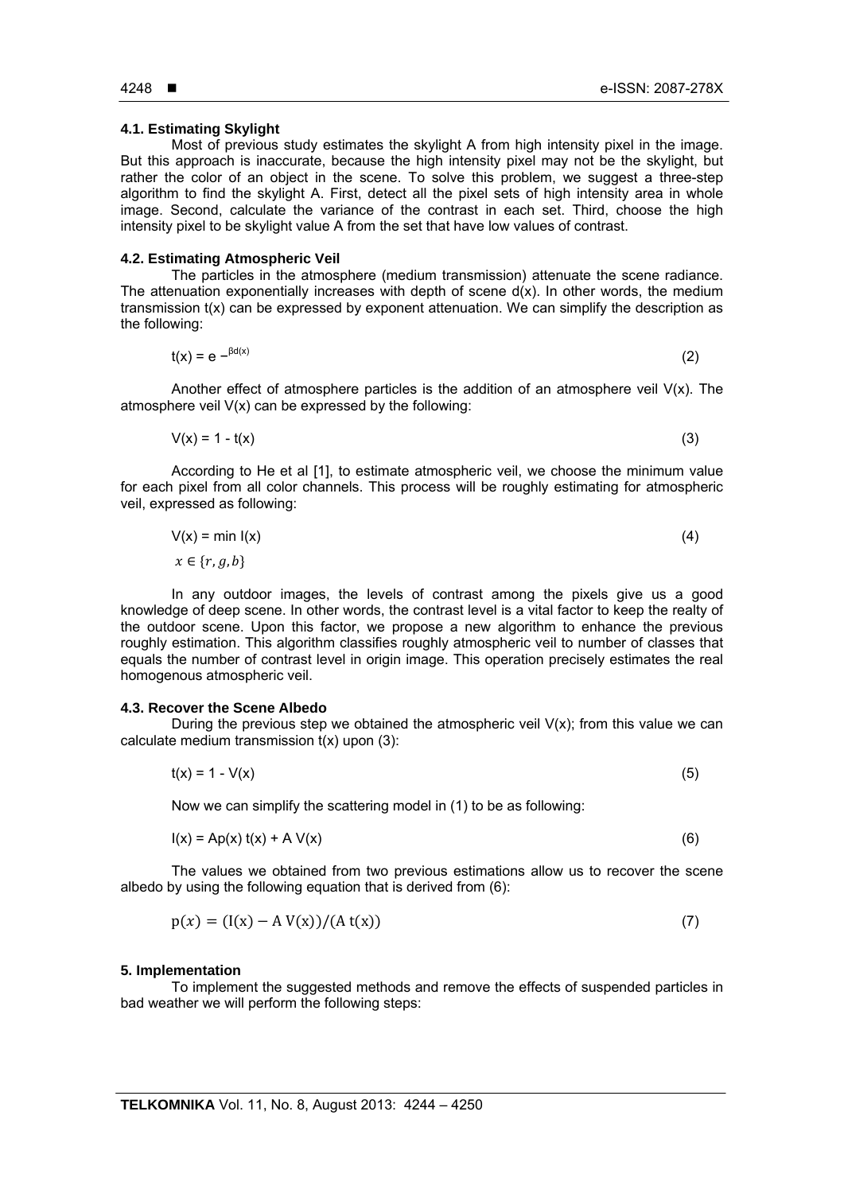#### **4.1. Estimating Skylight**

Most of previous study estimates the skylight A from high intensity pixel in the image. But this approach is inaccurate, because the high intensity pixel may not be the skylight, but rather the color of an object in the scene. To solve this problem, we suggest a three-step algorithm to find the skylight A. First, detect all the pixel sets of high intensity area in whole image. Second, calculate the variance of the contrast in each set. Third, choose the high intensity pixel to be skylight value A from the set that have low values of contrast.

#### **4.2. Estimating Atmospheric Veil**

The particles in the atmosphere (medium transmission) attenuate the scene radiance. The attenuation exponentially increases with depth of scene  $d(x)$ . In other words, the medium transmission  $t(x)$  can be expressed by exponent attenuation. We can simplify the description as the following:

$$
t(x) = e^{-\beta d(x)} \tag{2}
$$

Another effect of atmosphere particles is the addition of an atmosphere veil  $V(x)$ . The atmosphere veil  $V(x)$  can be expressed by the following:

$$
V(x) = 1 - t(x) \tag{3}
$$

According to He et al [1], to estimate atmospheric veil, we choose the minimum value for each pixel from all color channels. This process will be roughly estimating for atmospheric veil, expressed as following:

$$
V(x) = min I(x)
$$
  
\n
$$
x \in \{r, g, b\}
$$
\n(4)

In any outdoor images, the levels of contrast among the pixels give us a good knowledge of deep scene. In other words, the contrast level is a vital factor to keep the realty of the outdoor scene. Upon this factor, we propose a new algorithm to enhance the previous roughly estimation. This algorithm classifies roughly atmospheric veil to number of classes that equals the number of contrast level in origin image. This operation precisely estimates the real homogenous atmospheric veil.

## **4.3. Recover the Scene Albedo**

During the previous step we obtained the atmospheric veil  $V(x)$ ; from this value we can calculate medium transmission  $t(x)$  upon  $(3)$ :

$$
t(x) = 1 - V(x) \tag{5}
$$

Now we can simplify the scattering model in (1) to be as following:

$$
I(x) = Ap(x) t(x) + A V(x)
$$
\n(6)

The values we obtained from two previous estimations allow us to recover the scene albedo by using the following equation that is derived from (6):

$$
p(x) = (I(x) - A V(x))/(A t(x))
$$
\n(7)

#### **5. Implementation**

To implement the suggested methods and remove the effects of suspended particles in bad weather we will perform the following steps: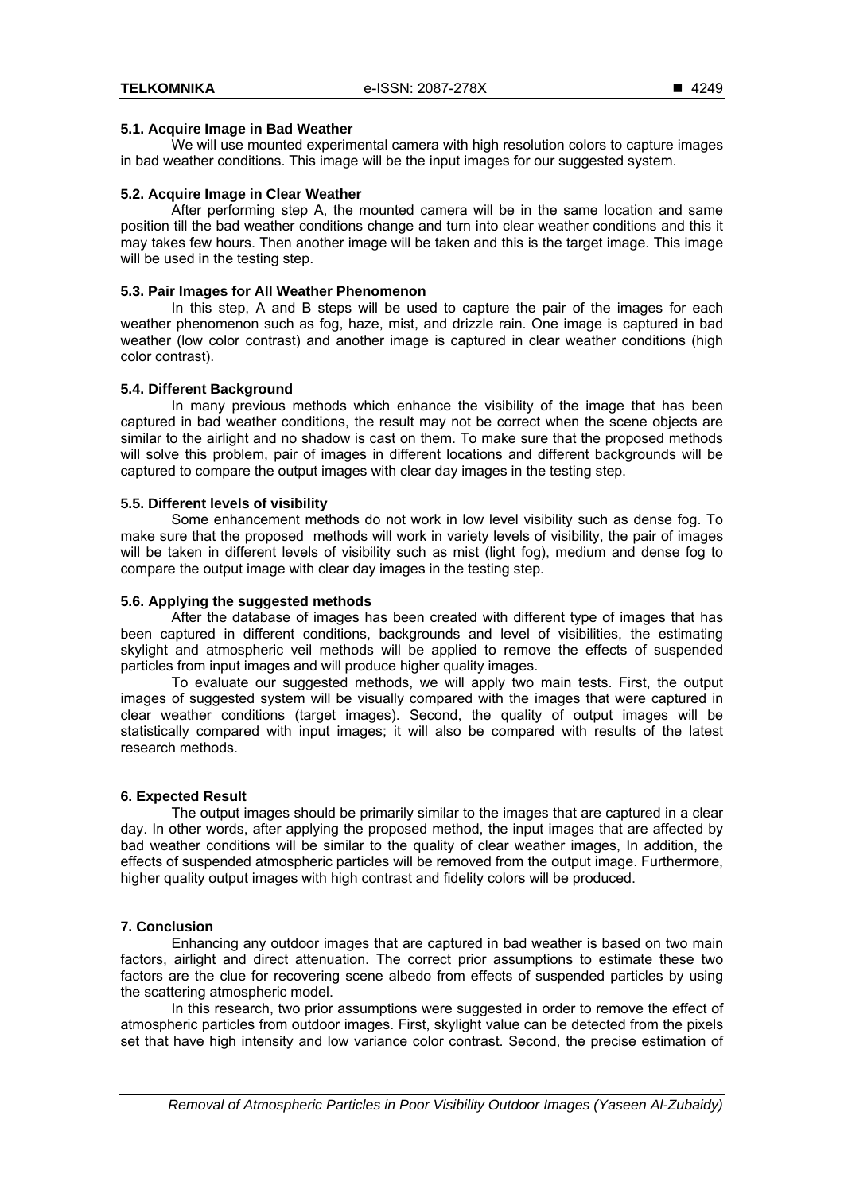# **5.1. Acquire Image in Bad Weather**

We will use mounted experimental camera with high resolution colors to capture images in bad weather conditions. This image will be the input images for our suggested system.

## **5.2. Acquire Image in Clear Weather**

After performing step A, the mounted camera will be in the same location and same position till the bad weather conditions change and turn into clear weather conditions and this it may takes few hours. Then another image will be taken and this is the target image. This image will be used in the testing step.

## **5.3. Pair Images for All Weather Phenomenon**

In this step, A and B steps will be used to capture the pair of the images for each weather phenomenon such as fog, haze, mist, and drizzle rain. One image is captured in bad weather (low color contrast) and another image is captured in clear weather conditions (high color contrast).

## **5.4. Different Background**

In many previous methods which enhance the visibility of the image that has been captured in bad weather conditions, the result may not be correct when the scene objects are similar to the airlight and no shadow is cast on them. To make sure that the proposed methods will solve this problem, pair of images in different locations and different backgrounds will be captured to compare the output images with clear day images in the testing step.

## **5.5. Different levels of visibility**

Some enhancement methods do not work in low level visibility such as dense fog. To make sure that the proposed methods will work in variety levels of visibility, the pair of images will be taken in different levels of visibility such as mist (light fog), medium and dense fog to compare the output image with clear day images in the testing step.

# **5.6. Applying the suggested methods**

After the database of images has been created with different type of images that has been captured in different conditions, backgrounds and level of visibilities, the estimating skylight and atmospheric veil methods will be applied to remove the effects of suspended particles from input images and will produce higher quality images.

To evaluate our suggested methods, we will apply two main tests. First, the output images of suggested system will be visually compared with the images that were captured in clear weather conditions (target images). Second, the quality of output images will be statistically compared with input images; it will also be compared with results of the latest research methods.

# **6. Expected Result**

The output images should be primarily similar to the images that are captured in a clear day. In other words, after applying the proposed method, the input images that are affected by bad weather conditions will be similar to the quality of clear weather images, In addition, the effects of suspended atmospheric particles will be removed from the output image. Furthermore, higher quality output images with high contrast and fidelity colors will be produced.

# **7. Conclusion**

Enhancing any outdoor images that are captured in bad weather is based on two main factors, airlight and direct attenuation. The correct prior assumptions to estimate these two factors are the clue for recovering scene albedo from effects of suspended particles by using the scattering atmospheric model.

In this research, two prior assumptions were suggested in order to remove the effect of atmospheric particles from outdoor images. First, skylight value can be detected from the pixels set that have high intensity and low variance color contrast. Second, the precise estimation of